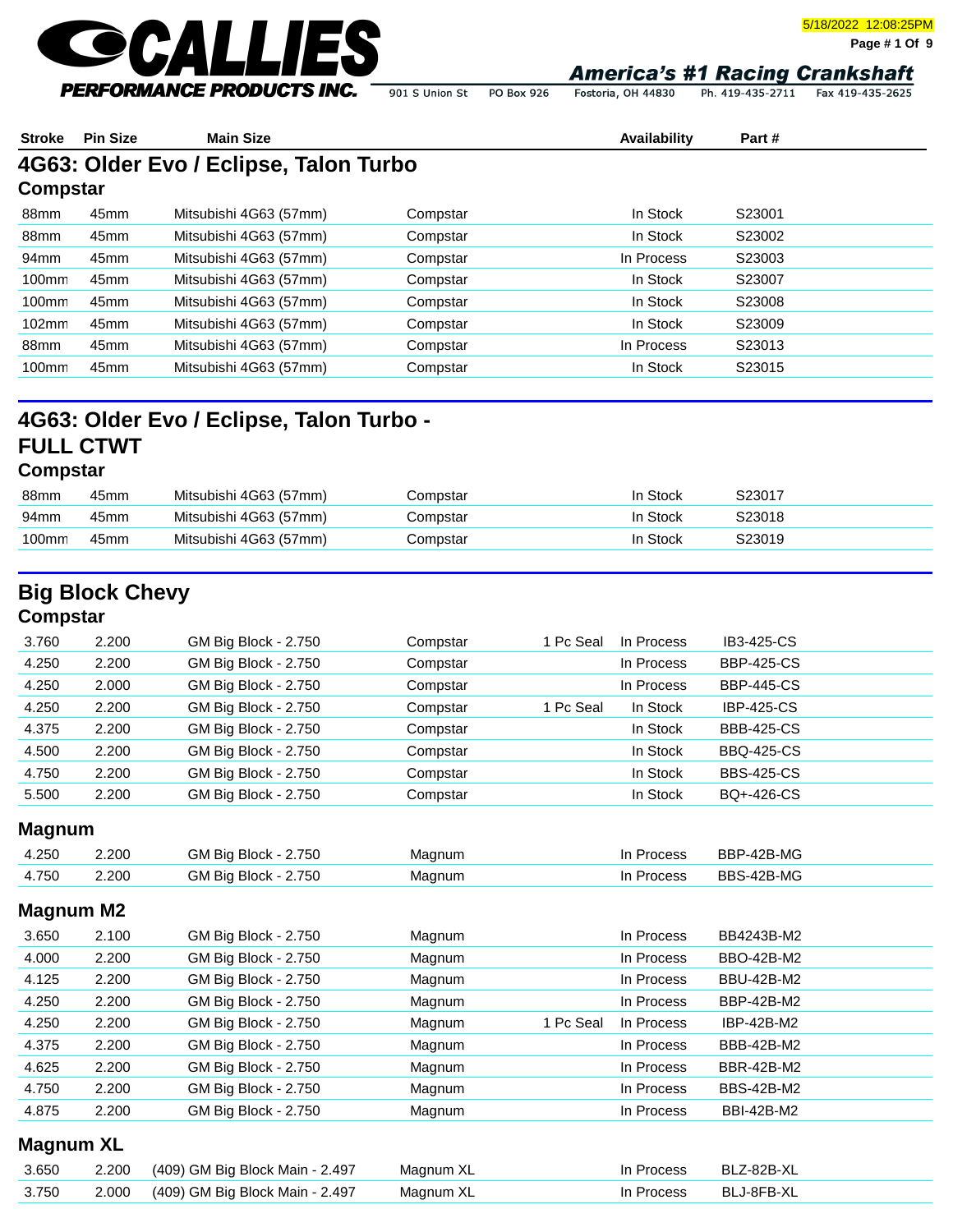

5/18/2022 12:08:25PM

**Page # 1 Of 9**

Fostoria, OH 44830 Ph. 419-435-2711 Fax 419-435-2625 901 S Union St PO Box 926

| <b>Stroke</b> | <b>Pin Size</b> | <b>Main Size</b>                       |          | Availability | Part#  |  |
|---------------|-----------------|----------------------------------------|----------|--------------|--------|--|
|               |                 | 4G63: Older Evo / Eclipse, Talon Turbo |          |              |        |  |
| Compstar      |                 |                                        |          |              |        |  |
| 88mm          | 45mm            | Mitsubishi 4G63 (57mm)                 | Compstar | In Stock     | S23001 |  |
| 88mm          | 45mm            | Mitsubishi 4G63 (57mm)                 | Compstar | In Stock     | S23002 |  |
| 94mm          | 45mm            | Mitsubishi 4G63 (57mm)                 | Compstar | In Process   | S23003 |  |
| 100mm         | 45mm            | Mitsubishi 4G63 (57mm)                 | Compstar | In Stock     | S23007 |  |
| 100mm         | 45mm            | Mitsubishi 4G63 (57mm)                 | Compstar | In Stock     | S23008 |  |
| 102mm         | 45mm            | Mitsubishi 4G63 (57mm)                 | Compstar | In Stock     | S23009 |  |
| 88mm          | 45mm            | Mitsubishi 4G63 (57mm)                 | Compstar | In Process   | S23013 |  |
| 100mm         | 45mm            | Mitsubishi 4G63 (57mm)                 | Compstar | In Stock     | S23015 |  |
|               |                 |                                        |          |              |        |  |

| 88mm  | 45mm             | Mitsubishi 4G63 (57mm) | ompstar | Stock    | S23017 |
|-------|------------------|------------------------|---------|----------|--------|
| 94mm  | 45mm             | Mitsubishi 4G63 (57mm) | ompstar | Stock    | S23018 |
| 100mm | 45 <sub>mm</sub> | Mitsubishi 4G63 (57mm) | ompstar | In Stock | 323019 |
|       |                  |                        |         |          |        |

# **Big Block Chevy**

### **Compstar**

| 3.760 | 2.200 | GM Big Block - 2.750 | Compstar | 1 Pc Seal | In Process | IB3-425-CS        |
|-------|-------|----------------------|----------|-----------|------------|-------------------|
| 4.250 | 2.200 | GM Big Block - 2.750 | Compstar |           | In Process | <b>BBP-425-CS</b> |
| 4.250 | 2.000 | GM Big Block - 2.750 | Compstar |           | In Process | <b>BBP-445-CS</b> |
| 4.250 | 2.200 | GM Big Block - 2.750 | Compstar | 1 Pc Seal | In Stock   | <b>IBP-425-CS</b> |
| 4.375 | 2.200 | GM Big Block - 2.750 | Compstar |           | In Stock   | <b>BBB-425-CS</b> |
| 4.500 | 2.200 | GM Big Block - 2.750 | Compstar |           | In Stock   | <b>BBQ-425-CS</b> |
| 4.750 | 2.200 | GM Big Block - 2.750 | Compstar |           | In Stock   | <b>BBS-425-CS</b> |
| 5.500 | 2.200 | GM Big Block - 2.750 | Compstar |           | In Stock   | BQ+-426-CS        |

### **Magnum**

| 4.250 | 2.200 | <b>GM Big Block - 2.750</b> | Magnum | ⊦ Process  | BBP-42B-MG |
|-------|-------|-----------------------------|--------|------------|------------|
| 4.750 | 2.200 | GM Big Block - 2.750        | Magnum | In Process | BBS-42B-MG |

#### **Magnum M2**

| 3.650 | 2.100 | <b>GM Big Block - 2.750</b> | Magnum |           | In Process | BB4243B-M2        |
|-------|-------|-----------------------------|--------|-----------|------------|-------------------|
| 4.000 | 2.200 | GM Big Block - 2.750        | Magnum |           | In Process | BBO-42B-M2        |
| 4.125 | 2.200 | GM Big Block - 2.750        | Magnum |           | In Process | <b>BBU-42B-M2</b> |
| 4.250 | 2.200 | GM Big Block - 2.750        | Magnum |           | In Process | BBP-42B-M2        |
| 4.250 | 2.200 | GM Big Block - 2.750        | Magnum | 1 Pc Seal | In Process | IBP-42B-M2        |
| 4.375 | 2.200 | GM Big Block - 2.750        | Magnum |           | In Process | <b>BBB-42B-M2</b> |
| 4.625 | 2.200 | <b>GM Big Block - 2.750</b> | Magnum |           | In Process | <b>BBR-42B-M2</b> |
| 4.750 | 2.200 | GM Big Block - 2.750        | Magnum |           | In Process | <b>BBS-42B-M2</b> |
| 4.875 | 2.200 | GM Big Block - 2.750        | Magnum |           | In Process | <b>BBI-42B-M2</b> |

#### **Magnum XL**

| 3.650 | 2.200 (409) GM Big Block Main - 2.497       | Magnum XL | In Process | BLZ-82B-XL |
|-------|---------------------------------------------|-----------|------------|------------|
|       | 3.750 2.000 (409) GM Big Block Main - 2.497 | Magnum XL | In Process | BLJ-8FB-XL |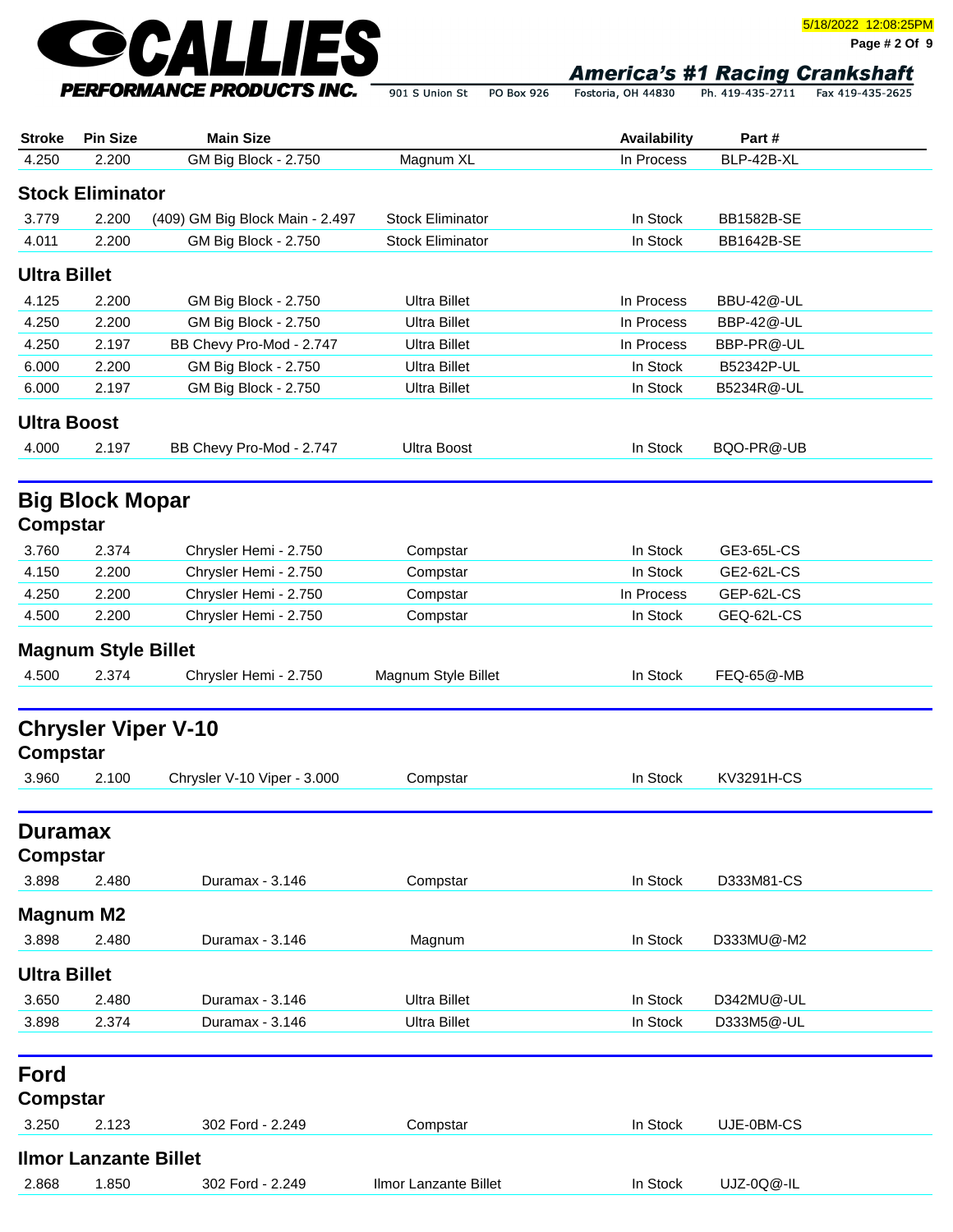

**Page # 2 Of 9**

| <b>Stroke</b>            | <b>Pin Size</b>              | <b>Main Size</b>                                          |                         | Availability | Part#             |  |
|--------------------------|------------------------------|-----------------------------------------------------------|-------------------------|--------------|-------------------|--|
| 4.250                    | 2.200                        | GM Big Block - 2.750                                      | Magnum XL               | In Process   | BLP-42B-XL        |  |
|                          | <b>Stock Eliminator</b>      |                                                           |                         |              |                   |  |
| 3.779                    | 2.200                        | (409) GM Big Block Main - 2.497                           | <b>Stock Eliminator</b> | In Stock     | <b>BB1582B-SE</b> |  |
| 4.011                    | 2.200                        | GM Big Block - 2.750                                      | <b>Stock Eliminator</b> | In Stock     | <b>BB1642B-SE</b> |  |
| <b>Ultra Billet</b>      |                              |                                                           |                         |              |                   |  |
| 4.125                    | 2.200                        | GM Big Block - 2.750                                      | <b>Ultra Billet</b>     | In Process   | BBU-42@-UL        |  |
| 4.250                    | 2.200                        | GM Big Block - 2.750                                      | <b>Ultra Billet</b>     | In Process   | BBP-42@-UL        |  |
| 4.250                    | 2.197                        | BB Chevy Pro-Mod - 2.747                                  | <b>Ultra Billet</b>     | In Process   | BBP-PR@-UL        |  |
| 6.000                    | 2.200                        | GM Big Block - 2.750                                      | <b>Ultra Billet</b>     | In Stock     | B52342P-UL        |  |
| 6.000                    | 2.197                        | GM Big Block - 2.750                                      | <b>Ultra Billet</b>     | In Stock     | B5234R@-UL        |  |
| <b>Ultra Boost</b>       |                              |                                                           |                         |              |                   |  |
| 4.000                    | 2.197                        | BB Chevy Pro-Mod - 2.747                                  | <b>Ultra Boost</b>      | In Stock     | BQO-PR@-UB        |  |
| <b>Compstar</b>          | <b>Big Block Mopar</b>       |                                                           |                         |              |                   |  |
| 3.760                    | 2.374                        | Chrysler Hemi - 2.750                                     | Compstar                | In Stock     | GE3-65L-CS        |  |
| 4.150                    | 2.200                        | Chrysler Hemi - 2.750                                     | Compstar                | In Stock     | GE2-62L-CS        |  |
| 4.250                    | 2.200                        | Chrysler Hemi - 2.750                                     | Compstar                | In Process   | GEP-62L-CS        |  |
| 4.500                    | 2.200                        | Chrysler Hemi - 2.750                                     | Compstar                | In Stock     | GEQ-62L-CS        |  |
|                          | <b>Magnum Style Billet</b>   |                                                           |                         |              |                   |  |
| 4.500                    | 2.374                        | Chrysler Hemi - 2.750                                     | Magnum Style Billet     | In Stock     | FEQ-65@-MB        |  |
| <b>Compstar</b><br>3.960 | 2.100                        | <b>Chrysler Viper V-10</b><br>Chrysler V-10 Viper - 3.000 | Compstar                | In Stock     | KV3291H-CS        |  |
| <b>Duramax</b>           |                              |                                                           |                         |              |                   |  |
| Compstar                 |                              |                                                           |                         |              |                   |  |
| 3.898                    | 2.480                        | Duramax - 3.146                                           | Compstar                | In Stock     | D333M81-CS        |  |
|                          | <b>Magnum M2</b>             |                                                           |                         |              |                   |  |
| 3.898                    | 2.480                        | Duramax - 3.146                                           | Magnum                  | In Stock     | D333MU@-M2        |  |
| <b>Ultra Billet</b>      |                              |                                                           |                         |              |                   |  |
| 3.650                    | 2.480                        | Duramax - 3.146                                           | <b>Ultra Billet</b>     | In Stock     | D342MU@-UL        |  |
| 3.898                    | 2.374                        | Duramax - 3.146                                           | <b>Ultra Billet</b>     | In Stock     | D333M5@-UL        |  |
| Ford<br><b>Compstar</b>  |                              |                                                           |                         |              |                   |  |
| 3.250                    | 2.123                        |                                                           |                         | In Stock     |                   |  |
|                          |                              | 302 Ford - 2.249                                          | Compstar                |              | UJE-0BM-CS        |  |
|                          | <b>Ilmor Lanzante Billet</b> |                                                           |                         |              |                   |  |
| 2.868                    | 1.850                        | 302 Ford - 2.249                                          | Ilmor Lanzante Billet   | In Stock     | UJZ-0Q@-IL        |  |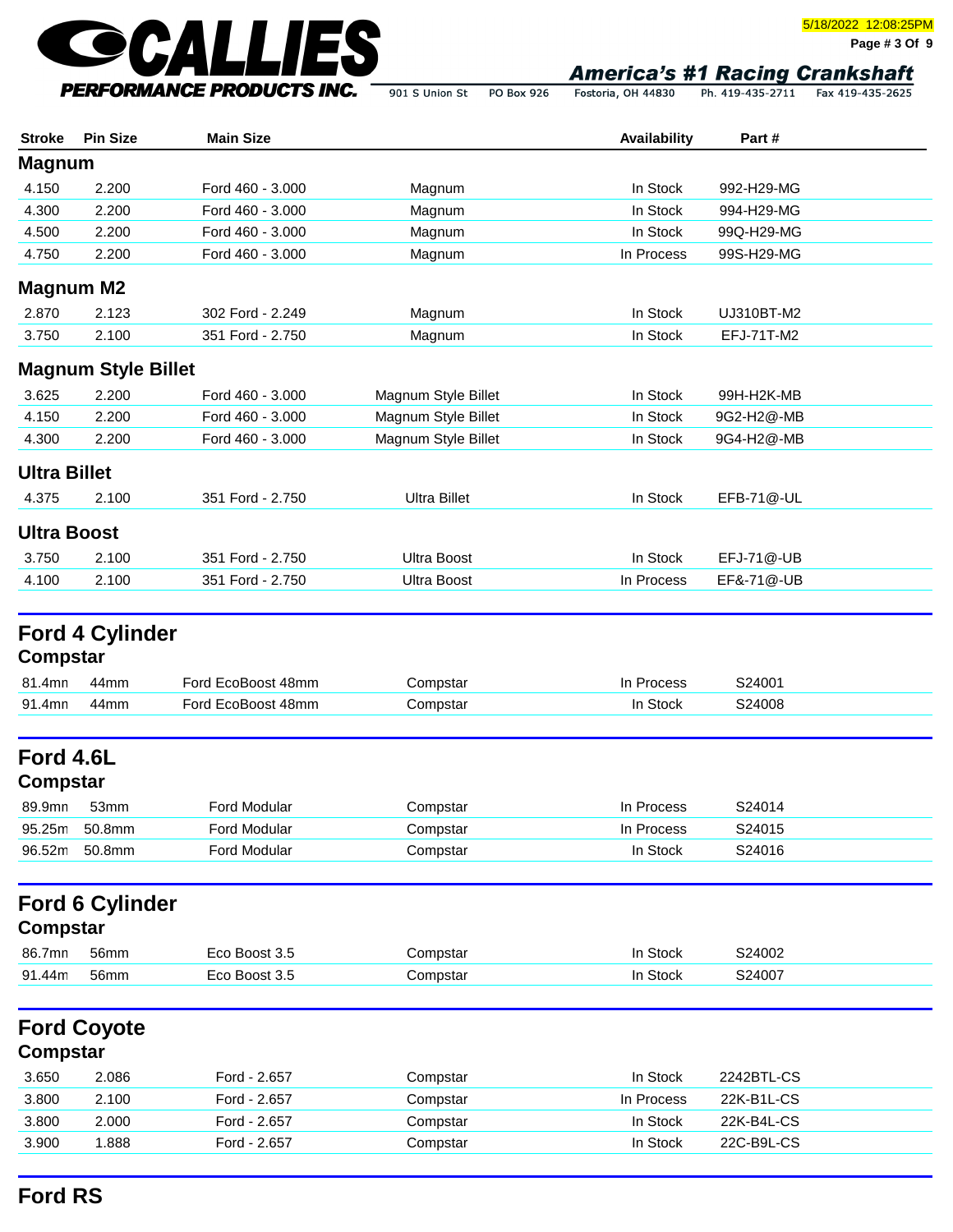

**Page # 3 Of 9**

Fostoria, OH 44830 Ph. 419-435-2711 Fax 419-435-2625 901 S Union St PO Box 926

| <b>Stroke</b>         | <b>Pin Size</b>            | <b>Main Size</b>   |                     | Availability | Part#      |  |
|-----------------------|----------------------------|--------------------|---------------------|--------------|------------|--|
| <b>Magnum</b>         |                            |                    |                     |              |            |  |
| 4.150                 | 2.200                      | Ford 460 - 3.000   | Magnum              | In Stock     | 992-H29-MG |  |
| 4.300                 | 2.200                      | Ford 460 - 3.000   | Magnum              | In Stock     | 994-H29-MG |  |
| 4.500                 | 2.200                      | Ford 460 - 3.000   | Magnum              | In Stock     | 99Q-H29-MG |  |
| 4.750                 | 2.200                      | Ford 460 - 3.000   | Magnum              | In Process   | 99S-H29-MG |  |
| <b>Magnum M2</b>      |                            |                    |                     |              |            |  |
| 2.870                 | 2.123                      | 302 Ford - 2.249   | Magnum              | In Stock     | UJ310BT-M2 |  |
| 3.750                 | 2.100                      | 351 Ford - 2.750   | Magnum              | In Stock     | EFJ-71T-M2 |  |
|                       | <b>Magnum Style Billet</b> |                    |                     |              |            |  |
| 3.625                 | 2.200                      | Ford 460 - 3.000   | Magnum Style Billet | In Stock     | 99H-H2K-MB |  |
| 4.150                 | 2.200                      | Ford 460 - 3.000   | Magnum Style Billet | In Stock     | 9G2-H2@-MB |  |
| 4.300                 | 2.200                      | Ford 460 - 3.000   | Magnum Style Billet | In Stock     | 9G4-H2@-MB |  |
| <b>Ultra Billet</b>   |                            |                    |                     |              |            |  |
| 4.375                 | 2.100                      | 351 Ford - 2.750   | <b>Ultra Billet</b> | In Stock     | EFB-71@-UL |  |
|                       |                            |                    |                     |              |            |  |
| <b>Ultra Boost</b>    |                            |                    |                     |              |            |  |
| 3.750                 | 2.100                      | 351 Ford - 2.750   | <b>Ultra Boost</b>  | In Stock     | EFJ-71@-UB |  |
| 4.100                 | 2.100                      | 351 Ford - 2.750   | <b>Ultra Boost</b>  | In Process   | EF&-71@-UB |  |
| Compstar              | <b>Ford 4 Cylinder</b>     |                    |                     |              |            |  |
| 81.4mn                | 44mm                       | Ford EcoBoost 48mm | Compstar            | In Process   | S24001     |  |
| 91.4mn                | 44mm                       | Ford EcoBoost 48mm | Compstar            | In Stock     | S24008     |  |
| Ford 4.6L<br>Compstar |                            |                    |                     |              |            |  |
| 89.9mn                | 53mm                       | Ford Modular       | Compstar            | In Process   | S24014     |  |
| 95.25m                | 50.8mm                     | Ford Modular       | Compstar            | In Process   | S24015     |  |
| 96.52m                | 50.8mm                     | Ford Modular       | Compstar            | In Stock     | S24016     |  |
| <b>Compstar</b>       | <b>Ford 6 Cylinder</b>     |                    |                     |              |            |  |
| 86.7mn                | 56mm                       | Eco Boost 3.5      | Compstar            | In Stock     | S24002     |  |
| 91.44m                | 56mm                       | Eco Boost 3.5      | Compstar            | In Stock     | S24007     |  |
| Compstar              | <b>Ford Coyote</b>         |                    |                     |              |            |  |
| 3.650                 | 2.086                      | Ford - 2.657       | Compstar            | In Stock     | 2242BTL-CS |  |
| 3.800                 | 2.100                      | Ford - 2.657       | Compstar            | In Process   | 22K-B1L-CS |  |
| 3.800                 | 2.000                      | Ford - 2.657       | Compstar            | In Stock     | 22K-B4L-CS |  |

3.900 1.888 Ford - 2.657 Compstar Compstand In Stock 22C-B9L-CS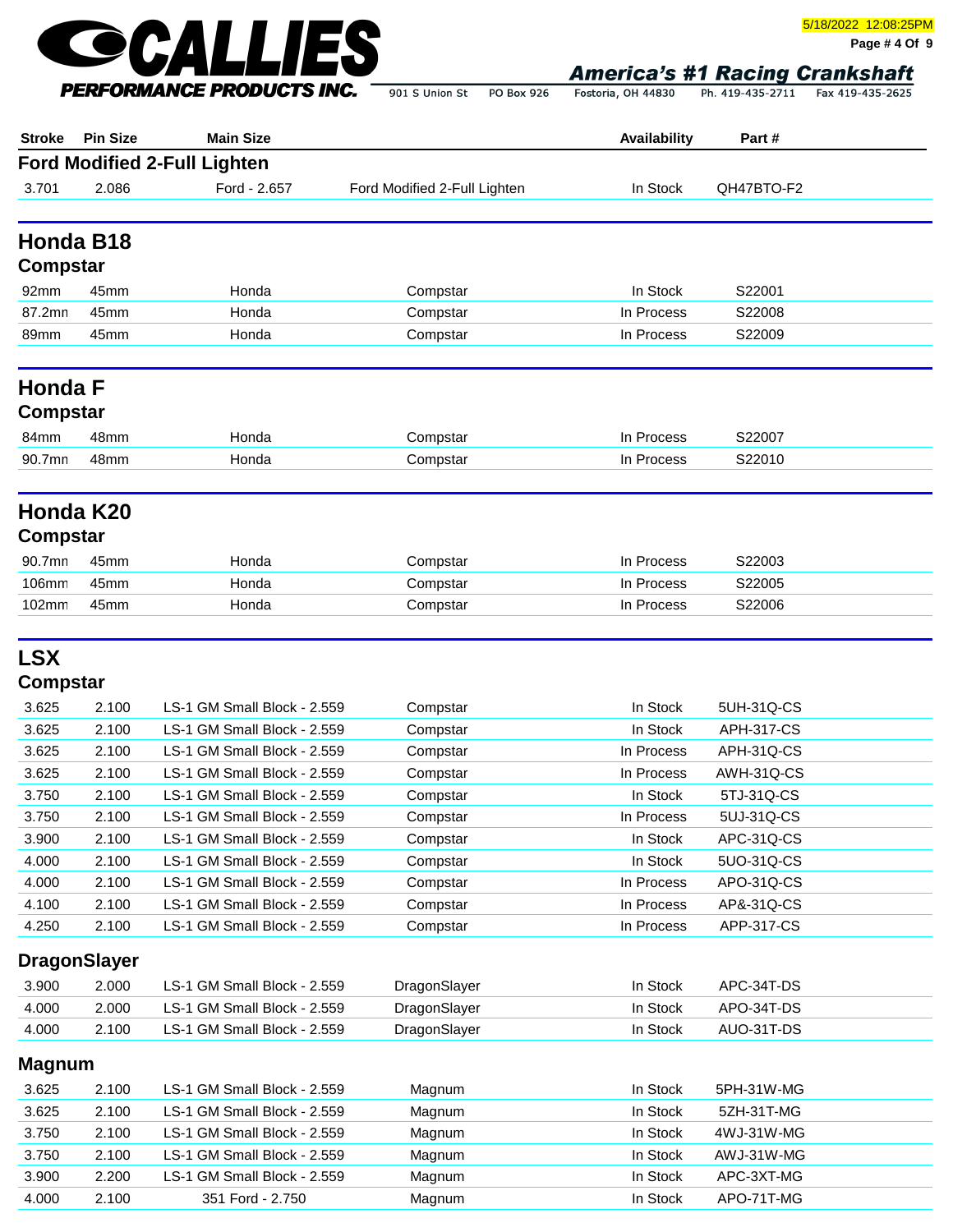

**Page # 4 Of 9**

Fostoria, OH 44830 Ph. 419-435-2711 Fax 419-435-2625 901 S Union St PO Box 926

| <b>Stroke</b> | <b>Pin Size</b>     | <b>Main Size</b>                    |                              | Availability | Part #            |  |
|---------------|---------------------|-------------------------------------|------------------------------|--------------|-------------------|--|
|               |                     | <b>Ford Modified 2-Full Lighten</b> |                              |              |                   |  |
| 3.701         | 2.086               | Ford - 2.657                        | Ford Modified 2-Full Lighten | In Stock     | QH47BTO-F2        |  |
|               |                     |                                     |                              |              |                   |  |
|               | Honda B18           |                                     |                              |              |                   |  |
| Compstar      |                     |                                     |                              |              |                   |  |
| 92mm          | 45mm                | Honda                               | Compstar                     | In Stock     | S22001            |  |
| 87.2mn        | 45mm                | Honda                               | Compstar                     | In Process   | S22008            |  |
| 89mm          | 45mm                | Honda                               | Compstar                     | In Process   | S22009            |  |
| Honda F       |                     |                                     |                              |              |                   |  |
| Compstar      |                     |                                     |                              |              |                   |  |
| 84mm          | 48mm                | Honda                               | Compstar                     | In Process   | S22007            |  |
| 90.7mn        | 48mm                | Honda                               | Compstar                     | In Process   | S22010            |  |
|               |                     |                                     |                              |              |                   |  |
|               | Honda K20           |                                     |                              |              |                   |  |
| Compstar      |                     |                                     |                              |              |                   |  |
| 90.7mn        | 45mm                | Honda                               | Compstar                     | In Process   | S22003            |  |
| 106mm         | 45mm                | Honda                               | Compstar                     | In Process   | S22005            |  |
| 102mm         | 45mm                | Honda                               | Compstar                     | In Process   | S22006            |  |
| <b>LSX</b>    |                     |                                     |                              |              |                   |  |
| Compstar      |                     |                                     |                              |              |                   |  |
| 3.625         | 2.100               | LS-1 GM Small Block - 2.559         | Compstar                     | In Stock     | 5UH-31Q-CS        |  |
| 3.625         | 2.100               | LS-1 GM Small Block - 2.559         | Compstar                     | In Stock     | <b>APH-317-CS</b> |  |
| 3.625         | 2.100               | LS-1 GM Small Block - 2.559         | Compstar                     | In Process   | APH-31Q-CS        |  |
| 3.625         | 2.100               | LS-1 GM Small Block - 2.559         | Compstar                     | In Process   | AWH-31Q-CS        |  |
| 3.750         | 2.100               | LS-1 GM Small Block - 2.559         | Compstar                     | In Stock     | 5TJ-31Q-CS        |  |
| 3.750         | 2.100               | LS-1 GM Small Block - 2.559         | Compstar                     | In Process   | 5UJ-31Q-CS        |  |
| 3.900         | 2.100               | LS-1 GM Small Block - 2.559         | Compstar                     | In Stock     | APC-31Q-CS        |  |
| 4.000         | 2.100               | LS-1 GM Small Block - 2.559         | Compstar                     | In Stock     | 5UO-31Q-CS        |  |
| 4.000         | 2.100               | LS-1 GM Small Block - 2.559         | Compstar                     | In Process   | APO-31Q-CS        |  |
| 4.100         | 2.100               | LS-1 GM Small Block - 2.559         | Compstar                     | In Process   | AP&-31Q-CS        |  |
| 4.250         | 2.100               | LS-1 GM Small Block - 2.559         | Compstar                     | In Process   | APP-317-CS        |  |
|               | <b>DragonSlayer</b> |                                     |                              |              |                   |  |
| 3.900         | 2.000               | LS-1 GM Small Block - 2.559         | DragonSlayer                 | In Stock     | APC-34T-DS        |  |
| 4.000         | 2.000               | LS-1 GM Small Block - 2.559         | DragonSlayer                 | In Stock     | APO-34T-DS        |  |
| 4.000         | 2.100               | LS-1 GM Small Block - 2.559         | DragonSlayer                 | In Stock     | AUO-31T-DS        |  |
| Magnum        |                     |                                     |                              |              |                   |  |
|               |                     |                                     |                              |              |                   |  |

| 3.625 | 2.100 | LS-1 GM Small Block - 2.559 | Magnum | In Stock<br>5PH-31W-MG |
|-------|-------|-----------------------------|--------|------------------------|
| 3.625 | 2.100 | LS-1 GM Small Block - 2.559 | Magnum | 5ZH-31T-MG<br>In Stock |
| 3.750 | 2.100 | LS-1 GM Small Block - 2.559 | Magnum | In Stock<br>4WJ-31W-MG |
| 3.750 | 2.100 | LS-1 GM Small Block - 2.559 | Magnum | In Stock<br>AWJ-31W-MG |
| 3.900 | 2.200 | LS-1 GM Small Block - 2.559 | Magnum | In Stock<br>APC-3XT-MG |
| 4.000 | 2.100 | 351 Ford - 2.750            | Magnum | In Stock<br>APO-71T-MG |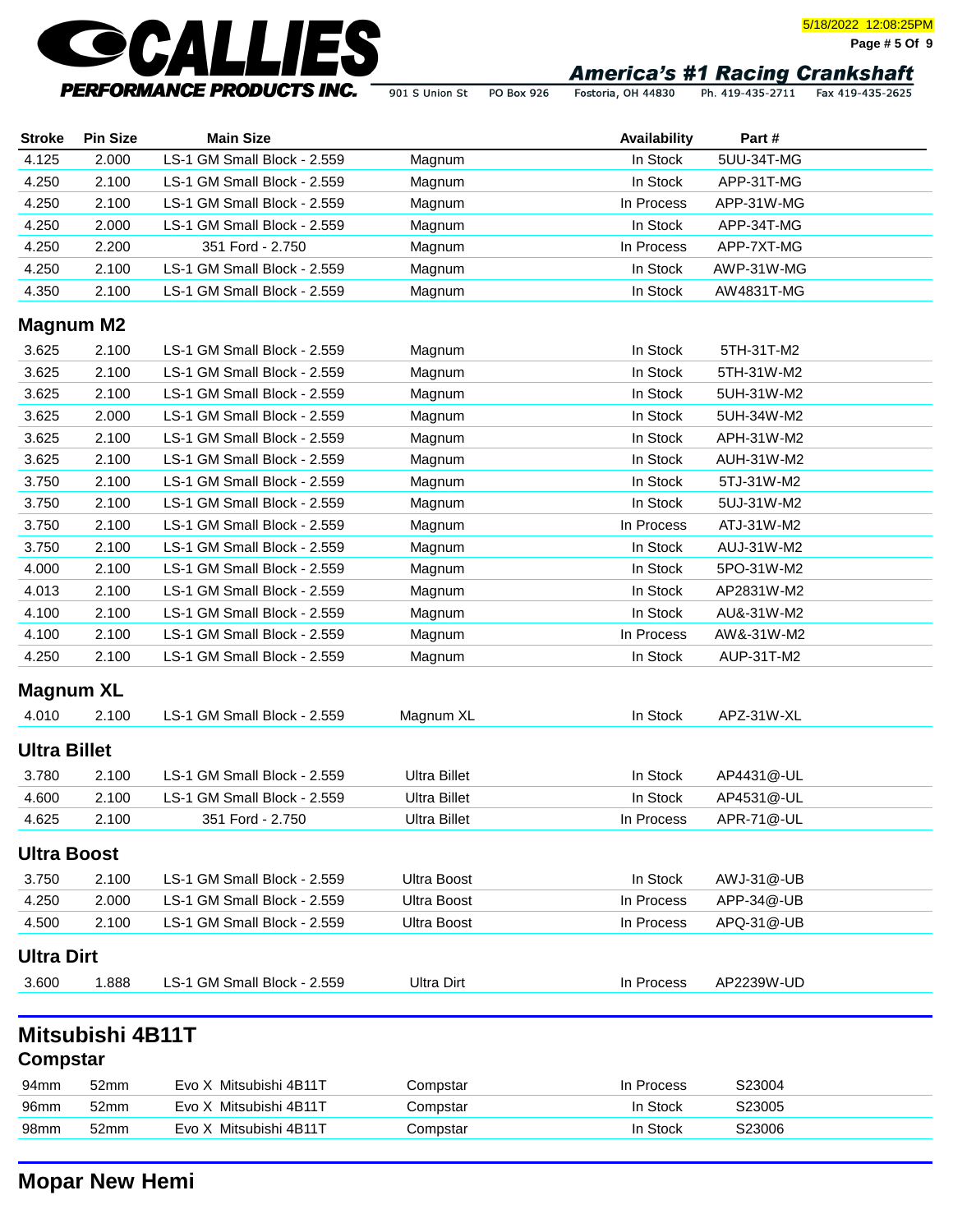

**Page # 5 Of 9**

901 S Union St PO Box 926

Fostoria, OH 44830 Ph. 419-435-2711 Fax 419-435-2625

| <b>Stroke</b>       | <b>Pin Size</b>  | <b>Main Size</b>            |                     | Availability | Part#      |  |
|---------------------|------------------|-----------------------------|---------------------|--------------|------------|--|
| 4.125               | 2.000            | LS-1 GM Small Block - 2.559 | Magnum              | In Stock     | 5UU-34T-MG |  |
| 4.250               | 2.100            | LS-1 GM Small Block - 2.559 | Magnum              | In Stock     | APP-31T-MG |  |
| 4.250               | 2.100            | LS-1 GM Small Block - 2.559 | Magnum              | In Process   | APP-31W-MG |  |
| 4.250               | 2.000            | LS-1 GM Small Block - 2.559 | Magnum              | In Stock     | APP-34T-MG |  |
| 4.250               | 2.200            | 351 Ford - 2.750            | Magnum              | In Process   | APP-7XT-MG |  |
| 4.250               | 2.100            | LS-1 GM Small Block - 2.559 | Magnum              | In Stock     | AWP-31W-MG |  |
| 4.350               | 2.100            | LS-1 GM Small Block - 2.559 | Magnum              | In Stock     | AW4831T-MG |  |
| <b>Magnum M2</b>    |                  |                             |                     |              |            |  |
| 3.625               | 2.100            | LS-1 GM Small Block - 2.559 | Magnum              | In Stock     | 5TH-31T-M2 |  |
| 3.625               | 2.100            | LS-1 GM Small Block - 2.559 | Magnum              | In Stock     | 5TH-31W-M2 |  |
| 3.625               | 2.100            | LS-1 GM Small Block - 2.559 | Magnum              | In Stock     | 5UH-31W-M2 |  |
| 3.625               | 2.000            | LS-1 GM Small Block - 2.559 | Magnum              | In Stock     | 5UH-34W-M2 |  |
| 3.625               | 2.100            | LS-1 GM Small Block - 2.559 | Magnum              | In Stock     | APH-31W-M2 |  |
| 3.625               | 2.100            | LS-1 GM Small Block - 2.559 | Magnum              | In Stock     | AUH-31W-M2 |  |
| 3.750               | 2.100            | LS-1 GM Small Block - 2.559 | Magnum              | In Stock     | 5TJ-31W-M2 |  |
| 3.750               | 2.100            | LS-1 GM Small Block - 2.559 | Magnum              | In Stock     | 5UJ-31W-M2 |  |
| 3.750               | 2.100            | LS-1 GM Small Block - 2.559 | Magnum              | In Process   | ATJ-31W-M2 |  |
| 3.750               | 2.100            | LS-1 GM Small Block - 2.559 | Magnum              | In Stock     | AUJ-31W-M2 |  |
| 4.000               | 2.100            | LS-1 GM Small Block - 2.559 | Magnum              | In Stock     | 5PO-31W-M2 |  |
| 4.013               | 2.100            | LS-1 GM Small Block - 2.559 | Magnum              | In Stock     | AP2831W-M2 |  |
| 4.100               | 2.100            | LS-1 GM Small Block - 2.559 | Magnum              | In Stock     | AU&-31W-M2 |  |
| 4.100               | 2.100            | LS-1 GM Small Block - 2.559 | Magnum              | In Process   | AW&-31W-M2 |  |
| 4.250               | 2.100            | LS-1 GM Small Block - 2.559 | Magnum              | In Stock     | AUP-31T-M2 |  |
|                     |                  |                             |                     |              |            |  |
| <b>Magnum XL</b>    |                  |                             |                     |              |            |  |
| 4.010               | 2.100            | LS-1 GM Small Block - 2.559 | Magnum XL           | In Stock     | APZ-31W-XL |  |
| <b>Ultra Billet</b> |                  |                             |                     |              |            |  |
| 3.780               | 2.100            | LS-1 GM Small Block - 2.559 | <b>Ultra Billet</b> | In Stock     | AP4431@-UL |  |
| 4.600               | 2.100            | LS-1 GM Small Block - 2.559 | <b>Ultra Billet</b> | In Stock     | AP4531@-UL |  |
| 4.625               | 2.100            | 351 Ford - 2.750            | <b>Ultra Billet</b> | In Process   | APR-71@-UL |  |
| <b>Ultra Boost</b>  |                  |                             |                     |              |            |  |
| 3.750               | 2.100            | LS-1 GM Small Block - 2.559 | <b>Ultra Boost</b>  | In Stock     | AWJ-31@-UB |  |
| 4.250               | 2.000            | LS-1 GM Small Block - 2.559 | <b>Ultra Boost</b>  | In Process   | APP-34@-UB |  |
| 4.500               | 2.100            | LS-1 GM Small Block - 2.559 | <b>Ultra Boost</b>  | In Process   | APQ-31@-UB |  |
|                     |                  |                             |                     |              |            |  |
| <b>Ultra Dirt</b>   |                  |                             |                     |              |            |  |
| 3.600               | 1.888            | LS-1 GM Small Block - 2.559 | <b>Ultra Dirt</b>   | In Process   | AP2239W-UD |  |
|                     |                  |                             |                     |              |            |  |
|                     | Mitsubishi 4B11T |                             |                     |              |            |  |
| Compstar            |                  |                             |                     |              |            |  |
| 94mm                | 52mm             | Evo X Mitsubishi 4B11T      | Compstar            | In Process   | S23004     |  |
| 96mm                | 52mm             | Evo X Mitsubishi 4B11T      | Compstar            | In Stock     | S23005     |  |
| 98mm                | 52mm             | Evo X Mitsubishi 4B11T      | Compstar            | In Stock     | S23006     |  |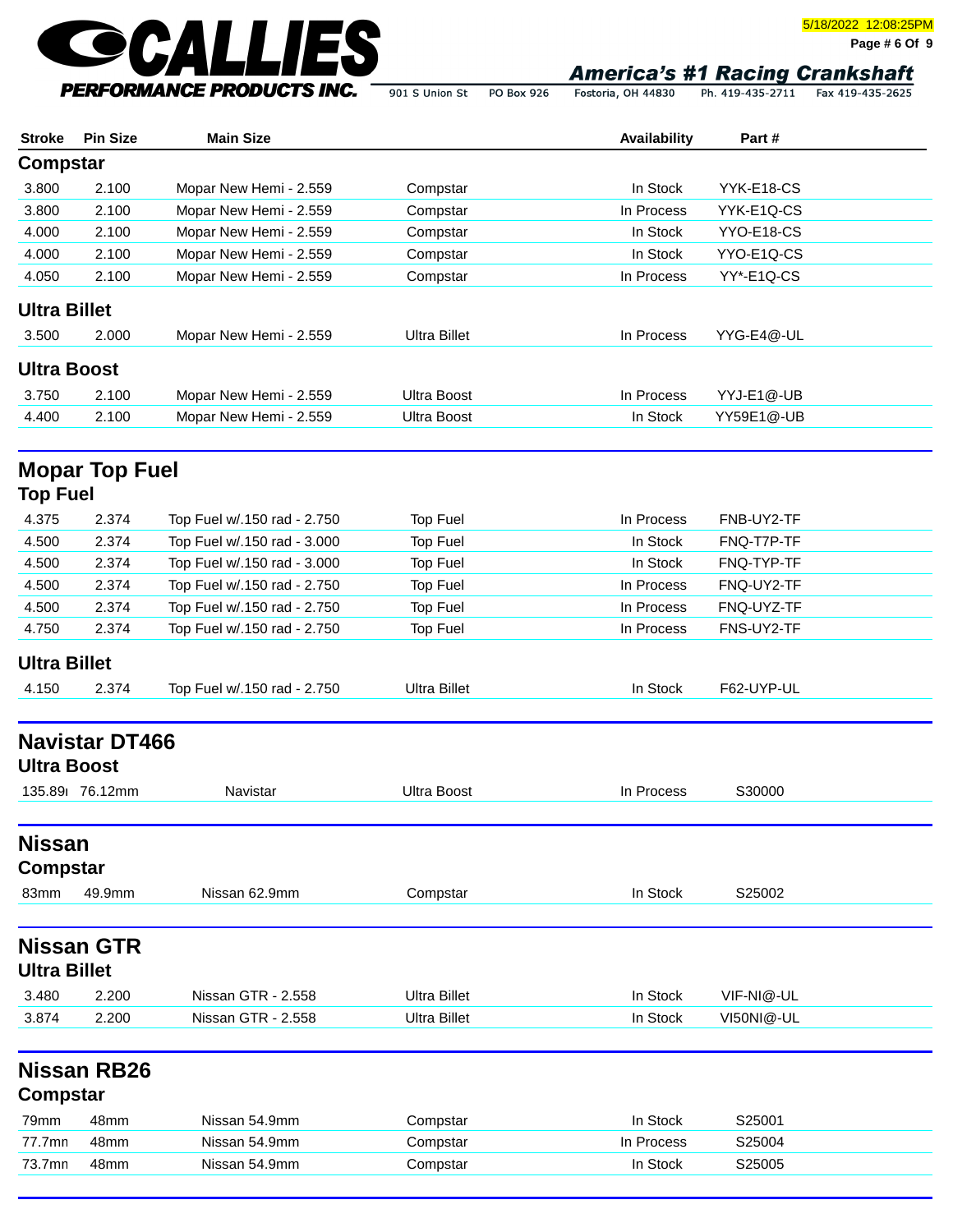

**Page # 6 Of 9**

Fostoria, OH 44830 Ph. 419-435-2711 Fax 419-435-2625 901 S Union St PO Box 926

| <b>Stroke</b>       | <b>Pin Size</b>       | <b>Main Size</b>            |                                  | Availability | Part#      |  |
|---------------------|-----------------------|-----------------------------|----------------------------------|--------------|------------|--|
| <b>Compstar</b>     |                       |                             |                                  |              |            |  |
| 3.800               | 2.100                 | Mopar New Hemi - 2.559      | Compstar                         | In Stock     | YYK-E18-CS |  |
| 3.800               | 2.100                 | Mopar New Hemi - 2.559      | Compstar                         | In Process   | YYK-E1Q-CS |  |
| 4.000               | 2.100                 | Mopar New Hemi - 2.559      | Compstar                         | In Stock     | YYO-E18-CS |  |
| 4.000               | 2.100                 | Mopar New Hemi - 2.559      | Compstar                         | In Stock     | YYO-E1Q-CS |  |
| 4.050               | 2.100                 | Mopar New Hemi - 2.559      | Compstar                         | In Process   | YY*-E1Q-CS |  |
| <b>Ultra Billet</b> |                       |                             |                                  |              |            |  |
| 3.500               | 2.000                 | Mopar New Hemi - 2.559      | <b>Ultra Billet</b>              | In Process   | YYG-E4@-UL |  |
| <b>Ultra Boost</b>  |                       |                             |                                  |              |            |  |
| 3.750               | 2.100                 | Mopar New Hemi - 2.559      | <b>Ultra Boost</b>               | In Process   | YYJ-E1@-UB |  |
| 4.400               | 2.100                 | Mopar New Hemi - 2.559      | <b>Ultra Boost</b>               | In Stock     | YY59E1@-UB |  |
|                     | <b>Mopar Top Fuel</b> |                             |                                  |              |            |  |
| <b>Top Fuel</b>     |                       |                             |                                  |              |            |  |
| 4.375               | 2.374                 | Top Fuel w/.150 rad - 2.750 | <b>Top Fuel</b>                  | In Process   | FNB-UY2-TF |  |
| 4.500               | 2.374                 | Top Fuel w/.150 rad - 3.000 | <b>Top Fuel</b>                  | In Stock     | FNQ-T7P-TF |  |
| 4.500               | 2.374                 | Top Fuel w/.150 rad - 3.000 | Top Fuel                         | In Stock     | FNQ-TYP-TF |  |
| 4.500               | 2.374                 | Top Fuel w/.150 rad - 2.750 | Top Fuel                         | In Process   | FNQ-UY2-TF |  |
| 4.500               | 2.374                 | Top Fuel w/.150 rad - 2.750 | <b>Top Fuel</b>                  | In Process   | FNQ-UYZ-TF |  |
| 4.750               | 2.374                 | Top Fuel w/.150 rad - 2.750 | Top Fuel                         | In Process   | FNS-UY2-TF |  |
| <b>Ultra Billet</b> |                       |                             |                                  |              |            |  |
| 4.150               | 2.374                 | Top Fuel w/.150 rad - 2.750 | <b>Ultra Billet</b>              | In Stock     | F62-UYP-UL |  |
|                     | <b>Navistar DT466</b> |                             |                                  |              |            |  |
| <b>Ultra Boost</b>  |                       |                             |                                  |              |            |  |
|                     | 135.89 76.12mm        | Navistar                    | <b>Ultra Boost</b>               | In Process   | S30000     |  |
|                     |                       |                             |                                  |              |            |  |
| <b>Nissan</b>       |                       |                             |                                  |              |            |  |
| <b>Compstar</b>     |                       |                             |                                  |              |            |  |
| 83mm                | 49.9mm                | Nissan 62.9mm               | Compstar                         | In Stock     | S25002     |  |
|                     | <b>Nissan GTR</b>     |                             |                                  |              |            |  |
| <b>Ultra Billet</b> |                       |                             |                                  |              |            |  |
| 3.480               | 2.200                 | Nissan GTR - 2.558          | <b>Ultra Billet</b>              | In Stock     | VIF-NI@-UL |  |
| 3.874               | 2.200                 | Nissan GTR - 2.558          | <b>Ultra Billet</b>              | In Stock     | VI50NI@-UL |  |
|                     | Nissan RB26           |                             |                                  |              |            |  |
| <b>Compstar</b>     |                       |                             |                                  |              |            |  |
|                     | 48mm                  | Nissan 54.9mm               |                                  | In Stock     | S25001     |  |
| 77.7mn              | 48mm                  | Nissan 54.9mm               |                                  | In Process   | S25004     |  |
|                     | 48mm                  | Nissan 54.9mm               |                                  |              |            |  |
| 79mm<br>73.7mn      |                       |                             | Compstar<br>Compstar<br>Compstar | In Stock     | S25005     |  |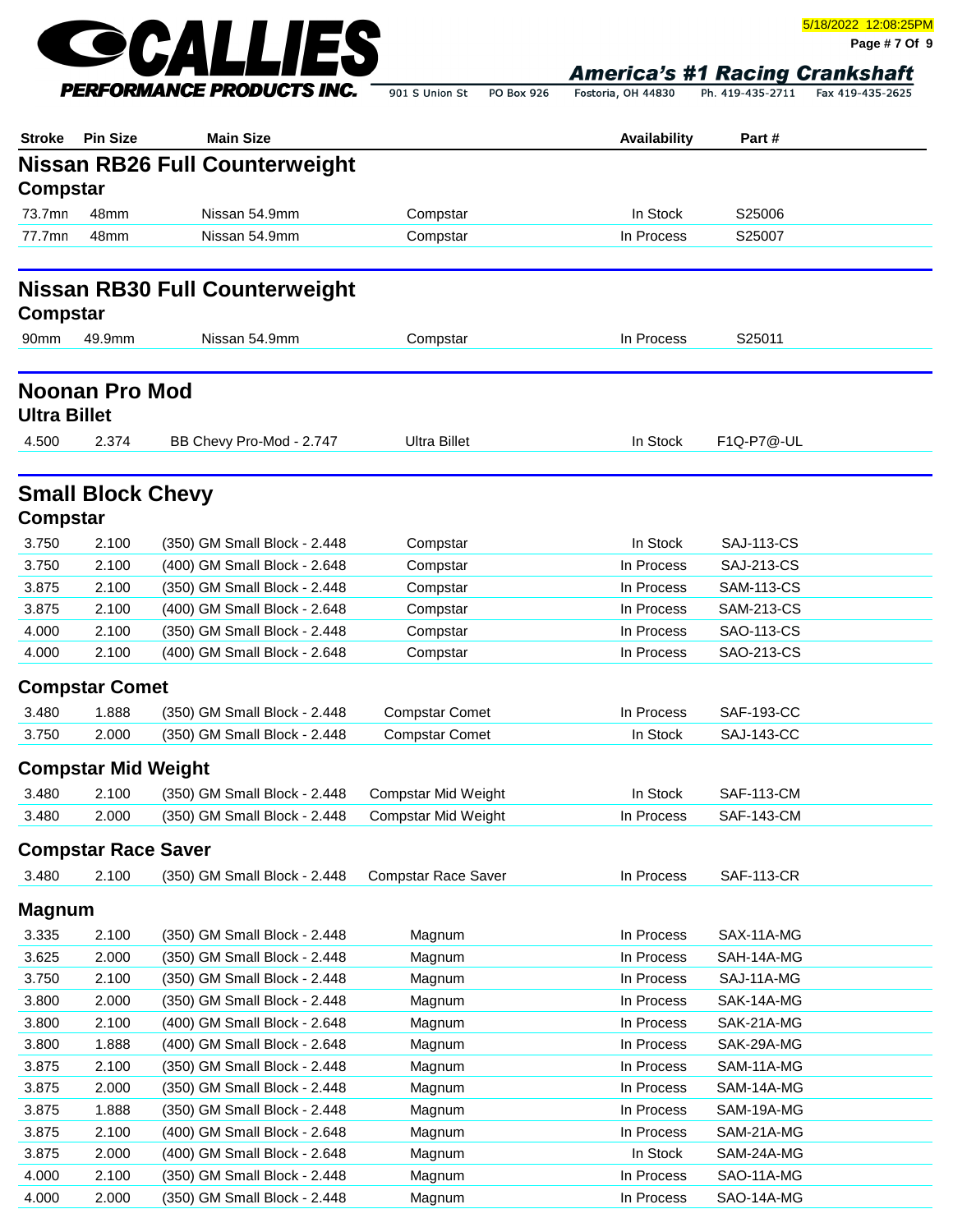

**Page # 7 Of 9**

Fostoria, OH 44830 Ph. 419-435-2711 Fax 419-435-2625

| <b>Stroke</b>       | <b>Pin Size</b>            | <b>Main Size</b>                                             |                                                   | Availability | Part #            |  |
|---------------------|----------------------------|--------------------------------------------------------------|---------------------------------------------------|--------------|-------------------|--|
|                     |                            | <b>Nissan RB26 Full Counterweight</b>                        |                                                   |              |                   |  |
| Compstar            |                            |                                                              |                                                   |              |                   |  |
| 73.7mn              | 48mm                       | Nissan 54.9mm                                                | Compstar                                          | In Stock     | S25006            |  |
| 77.7mn              | 48mm                       | Nissan 54.9mm                                                | Compstar                                          | In Process   | S25007            |  |
|                     |                            | <b>Nissan RB30 Full Counterweight</b>                        |                                                   |              |                   |  |
| Compstar            |                            |                                                              |                                                   |              |                   |  |
| 90 <sub>mm</sub>    | 49.9mm                     | Nissan 54.9mm                                                | Compstar                                          | In Process   | S25011            |  |
|                     |                            |                                                              |                                                   |              |                   |  |
| <b>Ultra Billet</b> | <b>Noonan Pro Mod</b>      |                                                              |                                                   |              |                   |  |
| 4.500               | 2.374                      | BB Chevy Pro-Mod - 2.747                                     | <b>Ultra Billet</b>                               | In Stock     | F1Q-P7@-UL        |  |
| Compstar            | <b>Small Block Chevy</b>   |                                                              |                                                   |              |                   |  |
| 3.750               | 2.100                      | (350) GM Small Block - 2.448                                 | Compstar                                          | In Stock     | <b>SAJ-113-CS</b> |  |
| 3.750               | 2.100                      | (400) GM Small Block - 2.648                                 | Compstar                                          | In Process   | <b>SAJ-213-CS</b> |  |
| 3.875               | 2.100                      | (350) GM Small Block - 2.448                                 | Compstar                                          | In Process   | <b>SAM-113-CS</b> |  |
| 3.875               | 2.100                      | (400) GM Small Block - 2.648                                 | Compstar                                          | In Process   | <b>SAM-213-CS</b> |  |
| 4.000               | 2.100                      | (350) GM Small Block - 2.448                                 | Compstar                                          | In Process   | <b>SAO-113-CS</b> |  |
| 4.000               | 2.100                      | (400) GM Small Block - 2.648                                 | Compstar                                          | In Process   | SAO-213-CS        |  |
|                     | <b>Compstar Comet</b>      |                                                              |                                                   |              |                   |  |
| 3.480               | 1.888                      | (350) GM Small Block - 2.448                                 | <b>Compstar Comet</b>                             | In Process   | <b>SAF-193-CC</b> |  |
| 3.750               | 2.000                      | (350) GM Small Block - 2.448                                 | <b>Compstar Comet</b>                             | In Stock     | <b>SAJ-143-CC</b> |  |
|                     | <b>Compstar Mid Weight</b> |                                                              |                                                   |              |                   |  |
| 3.480               | 2.100                      |                                                              |                                                   | In Stock     | <b>SAF-113-CM</b> |  |
| 3.480               | 2.000                      | (350) GM Small Block - 2.448<br>(350) GM Small Block - 2.448 | Compstar Mid Weight<br><b>Compstar Mid Weight</b> | In Process   | <b>SAF-143-CM</b> |  |
|                     |                            |                                                              |                                                   |              |                   |  |
|                     | <b>Compstar Race Saver</b> |                                                              |                                                   |              |                   |  |
| 3.480               | 2.100                      | (350) GM Small Block - 2.448                                 | <b>Compstar Race Saver</b>                        | In Process   | <b>SAF-113-CR</b> |  |
| <b>Magnum</b>       |                            |                                                              |                                                   |              |                   |  |
| 3.335               | 2.100                      | (350) GM Small Block - 2.448                                 | Magnum                                            | In Process   | SAX-11A-MG        |  |
| 3.625               | 2.000                      | (350) GM Small Block - 2.448                                 | Magnum                                            | In Process   | SAH-14A-MG        |  |
| 3.750               | 2.100                      | (350) GM Small Block - 2.448                                 | Magnum                                            | In Process   | SAJ-11A-MG        |  |
| 3.800               | 2.000                      | (350) GM Small Block - 2.448                                 | Magnum                                            | In Process   | SAK-14A-MG        |  |
| 3.800               | 2.100                      | (400) GM Small Block - 2.648                                 | Magnum                                            | In Process   | SAK-21A-MG        |  |
| 3.800               | 1.888                      | (400) GM Small Block - 2.648                                 | Magnum                                            | In Process   | SAK-29A-MG        |  |
| 3.875               | 2.100                      | (350) GM Small Block - 2.448                                 | Magnum                                            | In Process   | SAM-11A-MG        |  |
| 3.875               | 2.000                      | (350) GM Small Block - 2.448                                 | Magnum                                            | In Process   | SAM-14A-MG        |  |
| 3.875               | 1.888                      | (350) GM Small Block - 2.448                                 | Magnum                                            | In Process   | SAM-19A-MG        |  |
| 3.875               | 2.100                      | (400) GM Small Block - 2.648                                 | Magnum                                            | In Process   | SAM-21A-MG        |  |
| 3.875               | 2.000                      | (400) GM Small Block - 2.648                                 | Magnum                                            | In Stock     | SAM-24A-MG        |  |
| 4.000               | 2.100                      | (350) GM Small Block - 2.448                                 | Magnum                                            | In Process   | SAO-11A-MG        |  |
| 4.000               | 2.000                      | (350) GM Small Block - 2.448                                 | Magnum                                            | In Process   | SAO-14A-MG        |  |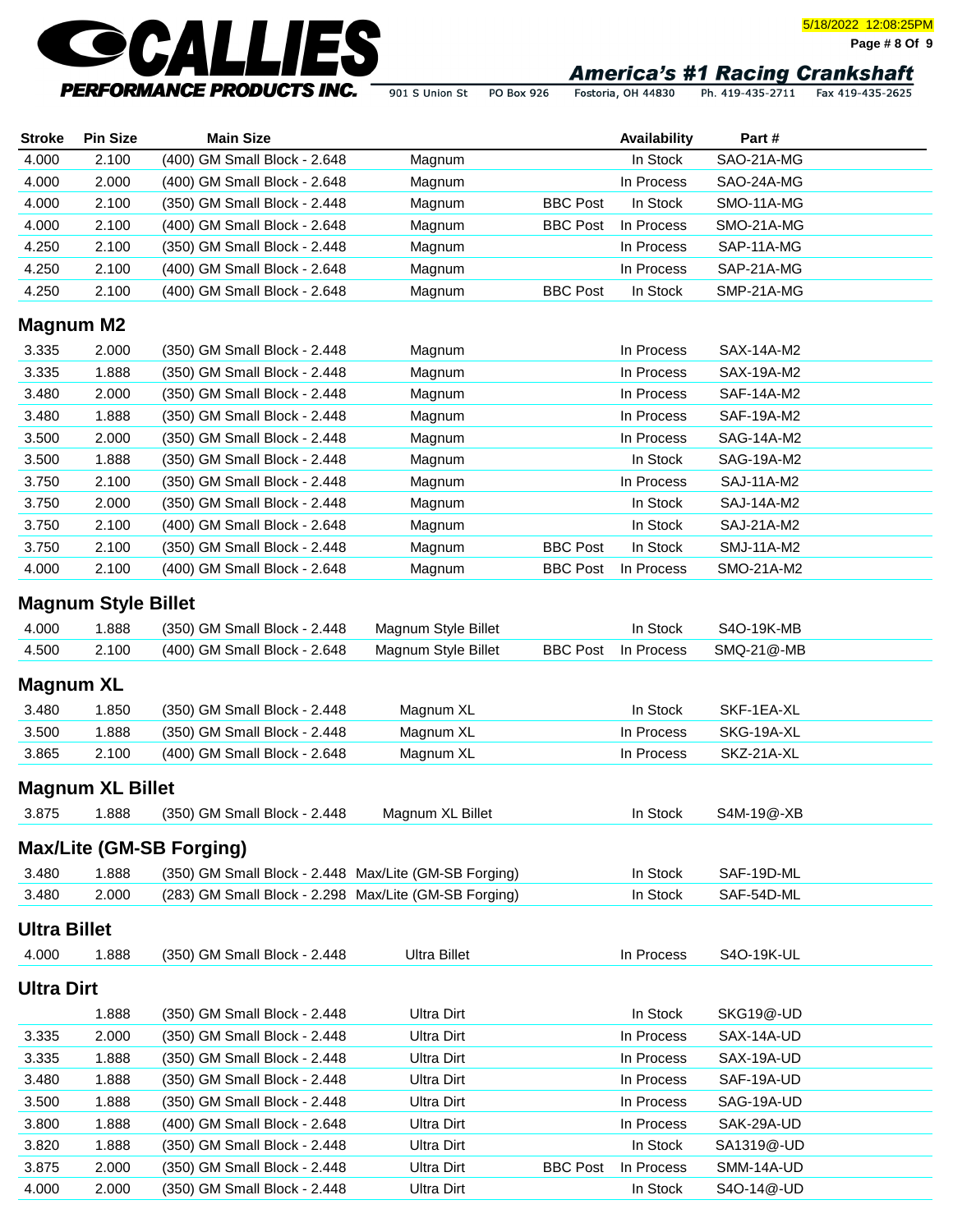

**Page # 8 Of 9**

901 S Union St PO Box 926

Fostoria, OH 44830 Ph. 419-435-2711 Fax 419-435-2625

| <b>Stroke</b>       | <b>Pin Size</b>            | <b>Main Size</b>                                      |                     |                 | Availability | Part#             |  |
|---------------------|----------------------------|-------------------------------------------------------|---------------------|-----------------|--------------|-------------------|--|
| 4.000               | 2.100                      | (400) GM Small Block - 2.648                          | Magnum              |                 | In Stock     | SAO-21A-MG        |  |
| 4.000               | 2.000                      | (400) GM Small Block - 2.648                          | Magnum              |                 | In Process   | SAO-24A-MG        |  |
| 4.000               | 2.100                      | (350) GM Small Block - 2.448                          | Magnum              | <b>BBC Post</b> | In Stock     | SMO-11A-MG        |  |
| 4.000               | 2.100                      | (400) GM Small Block - 2.648                          | Magnum              | <b>BBC Post</b> | In Process   | SMO-21A-MG        |  |
| 4.250               | 2.100                      | (350) GM Small Block - 2.448                          | Magnum              |                 | In Process   | SAP-11A-MG        |  |
| 4.250               | 2.100                      | (400) GM Small Block - 2.648                          | Magnum              |                 | In Process   | SAP-21A-MG        |  |
| 4.250               | 2.100                      | (400) GM Small Block - 2.648                          | Magnum              | <b>BBC Post</b> | In Stock     | SMP-21A-MG        |  |
| <b>Magnum M2</b>    |                            |                                                       |                     |                 |              |                   |  |
| 3.335               | 2.000                      | (350) GM Small Block - 2.448                          | Magnum              |                 | In Process   | SAX-14A-M2        |  |
| 3.335               | 1.888                      | (350) GM Small Block - 2.448                          | Magnum              |                 | In Process   | SAX-19A-M2        |  |
| 3.480               | 2.000                      | (350) GM Small Block - 2.448                          | Magnum              |                 | In Process   | SAF-14A-M2        |  |
| 3.480               | 1.888                      | (350) GM Small Block - 2.448                          | Magnum              |                 | In Process   | SAF-19A-M2        |  |
| 3.500               | 2.000                      | (350) GM Small Block - 2.448                          | Magnum              |                 | In Process   | SAG-14A-M2        |  |
| 3.500               | 1.888                      | (350) GM Small Block - 2.448                          | Magnum              |                 | In Stock     | SAG-19A-M2        |  |
| 3.750               | 2.100                      | (350) GM Small Block - 2.448                          | Magnum              |                 | In Process   | <b>SAJ-11A-M2</b> |  |
| 3.750               | 2.000                      | (350) GM Small Block - 2.448                          | Magnum              |                 | In Stock     | <b>SAJ-14A-M2</b> |  |
| 3.750               | 2.100                      | (400) GM Small Block - 2.648                          | Magnum              |                 | In Stock     | SAJ-21A-M2        |  |
| 3.750               | 2.100                      | (350) GM Small Block - 2.448                          | Magnum              | <b>BBC Post</b> | In Stock     | <b>SMJ-11A-M2</b> |  |
| 4.000               | 2.100                      | (400) GM Small Block - 2.648                          | Magnum              | <b>BBC Post</b> | In Process   | SMO-21A-M2        |  |
|                     | <b>Magnum Style Billet</b> |                                                       |                     |                 |              |                   |  |
| 4.000               | 1.888                      | (350) GM Small Block - 2.448                          | Magnum Style Billet |                 | In Stock     | S4O-19K-MB        |  |
| 4.500               | 2.100                      | (400) GM Small Block - 2.648                          | Magnum Style Billet | <b>BBC Post</b> | In Process   | SMQ-21@-MB        |  |
|                     |                            |                                                       |                     |                 |              |                   |  |
| Magnum XL           |                            |                                                       |                     |                 |              |                   |  |
| 3.480               | 1.850                      | (350) GM Small Block - 2.448                          | Magnum XL           |                 | In Stock     | SKF-1EA-XL        |  |
| 3.500               | 1.888                      | (350) GM Small Block - 2.448                          | Magnum XL           |                 | In Process   | SKG-19A-XL        |  |
| 3.865               | 2.100                      | (400) GM Small Block - 2.648                          | Magnum XL           |                 | In Process   | SKZ-21A-XL        |  |
|                     | <b>Magnum XL Billet</b>    |                                                       |                     |                 |              |                   |  |
| 3.875               | 1.888                      | (350) GM Small Block - 2.448                          | Magnum XL Billet    |                 | In Stock     | S4M-19@-XB        |  |
|                     |                            |                                                       |                     |                 |              |                   |  |
|                     |                            | Max/Lite (GM-SB Forging)                              |                     |                 |              |                   |  |
| 3.480               | 1.888                      | (350) GM Small Block - 2.448 Max/Lite (GM-SB Forging) |                     |                 | In Stock     | SAF-19D-ML        |  |
| 3.480               | 2.000                      | (283) GM Small Block - 2.298 Max/Lite (GM-SB Forging) |                     |                 | In Stock     | SAF-54D-ML        |  |
| <b>Ultra Billet</b> |                            |                                                       |                     |                 |              |                   |  |
| 4.000               | 1.888                      | (350) GM Small Block - 2.448                          | <b>Ultra Billet</b> |                 | In Process   | S4O-19K-UL        |  |
|                     |                            |                                                       |                     |                 |              |                   |  |
| Ultra Dirt          |                            |                                                       |                     |                 |              |                   |  |
|                     | 1.888                      | (350) GM Small Block - 2.448                          | <b>Ultra Dirt</b>   |                 | In Stock     | SKG19@-UD         |  |
| 3.335               | 2.000                      | (350) GM Small Block - 2.448                          | <b>Ultra Dirt</b>   |                 | In Process   | SAX-14A-UD        |  |
| 3.335               | 1.888                      | (350) GM Small Block - 2.448                          | <b>Ultra Dirt</b>   |                 | In Process   | SAX-19A-UD        |  |
| 3.480               | 1.888                      | (350) GM Small Block - 2.448                          | <b>Ultra Dirt</b>   |                 | In Process   | SAF-19A-UD        |  |
| 3.500               | 1.888                      | (350) GM Small Block - 2.448                          | <b>Ultra Dirt</b>   |                 | In Process   | SAG-19A-UD        |  |
| 3.800               | 1.888                      | (400) GM Small Block - 2.648                          | <b>Ultra Dirt</b>   |                 | In Process   | SAK-29A-UD        |  |
| 3.820               | 1.888                      | (350) GM Small Block - 2.448                          | Ultra Dirt          |                 | In Stock     | SA1319@-UD        |  |
| 3.875               | 2.000                      | (350) GM Small Block - 2.448                          | Ultra Dirt          | <b>BBC Post</b> | In Process   | SMM-14A-UD        |  |

4.000 2.000 (350) GM Small Block - 2.448 Ultra Dirt In Stock S4O-14@-UD